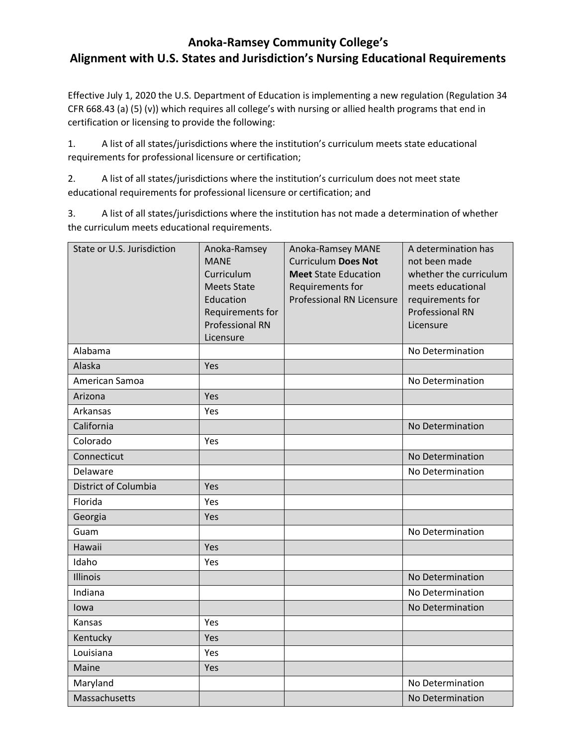## **Anoka-Ramsey Community College's Alignment with U.S. States and Jurisdiction's Nursing Educational Requirements**

Effective July 1, 2020 the U.S. Department of Education is implementing a new regulation (Regulation 34 CFR 668.43 (a) (5) (v)) which requires all college's with nursing or allied health programs that end in certification or licensing to provide the following:

1. A list of all states/jurisdictions where the institution's curriculum meets state educational requirements for professional licensure or certification;

2. A list of all states/jurisdictions where the institution's curriculum does not meet state educational requirements for professional licensure or certification; and

3. A list of all states/jurisdictions where the institution has not made a determination of whether the curriculum meets educational requirements.

| State or U.S. Jurisdiction | Anoka-Ramsey<br><b>MANE</b> | Anoka-Ramsey MANE<br><b>Curriculum Does Not</b> | A determination has<br>not been made |
|----------------------------|-----------------------------|-------------------------------------------------|--------------------------------------|
|                            | Curriculum                  | <b>Meet State Education</b>                     | whether the curriculum               |
|                            | <b>Meets State</b>          | Requirements for                                | meets educational                    |
|                            | Education                   | <b>Professional RN Licensure</b>                | requirements for                     |
|                            | Requirements for            |                                                 | <b>Professional RN</b>               |
|                            | <b>Professional RN</b>      |                                                 | Licensure                            |
| Alabama                    | Licensure                   |                                                 | No Determination                     |
|                            |                             |                                                 |                                      |
| Alaska                     | Yes                         |                                                 |                                      |
| American Samoa             |                             |                                                 | No Determination                     |
| Arizona                    | Yes                         |                                                 |                                      |
| Arkansas                   | Yes                         |                                                 |                                      |
| California                 |                             |                                                 | No Determination                     |
| Colorado                   | Yes                         |                                                 |                                      |
| Connecticut                |                             |                                                 | No Determination                     |
| Delaware                   |                             |                                                 | No Determination                     |
| District of Columbia       | Yes                         |                                                 |                                      |
| Florida                    | Yes                         |                                                 |                                      |
| Georgia                    | Yes                         |                                                 |                                      |
| Guam                       |                             |                                                 | No Determination                     |
| Hawaii                     | Yes                         |                                                 |                                      |
| Idaho                      | Yes                         |                                                 |                                      |
| Illinois                   |                             |                                                 | No Determination                     |
| Indiana                    |                             |                                                 | No Determination                     |
| lowa                       |                             |                                                 | No Determination                     |
| Kansas                     | Yes                         |                                                 |                                      |
| Kentucky                   | Yes                         |                                                 |                                      |
| Louisiana                  | Yes                         |                                                 |                                      |
| Maine                      | Yes                         |                                                 |                                      |
| Maryland                   |                             |                                                 | No Determination                     |
| Massachusetts              |                             |                                                 | No Determination                     |